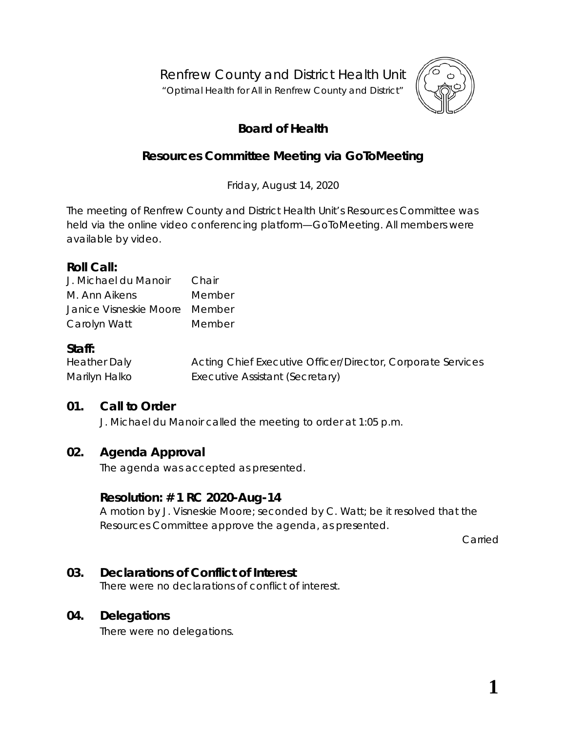Renfrew County and District Health Unit

"*Optimal Health for All in Renfrew County and District"*



# **Board of Health**

## **Resources Committee Meeting via GoToMeeting**

Friday, August 14, 2020

The meeting of Renfrew County and District Health Unit's Resources Committee was held via the online video conferencing platform—*GoToMeeting*. All members were available by video.

### **Roll Call:**

| J. Michael du Manoir          | Chair  |
|-------------------------------|--------|
| M. Ann Aikens                 | Member |
| Janice Visneskie Moore Member |        |
| Carolyn Watt                  | Member |

## **Staff:**

| <b>Heather Daly</b> | Acting Chief Executive Officer/Director, Corporate Services |
|---------------------|-------------------------------------------------------------|
| Marilyn Halko       | Executive Assistant (Secretary)                             |

## **01. Call to Order**

J. Michael du Manoir called the meeting to order at 1:05 p.m.

## **02. Agenda Approval**

The agenda was accepted as presented.

## **Resolution: # 1 RC 2020-Aug-14**

A motion by J. Visneskie Moore; seconded by C. Watt; be it resolved that the Resources Committee approve the agenda, as presented.

Carried

## **03. Declarations of Conflict of Interest**

There were no declarations of conflict of interest.

### **04. Delegations**

There were no delegations.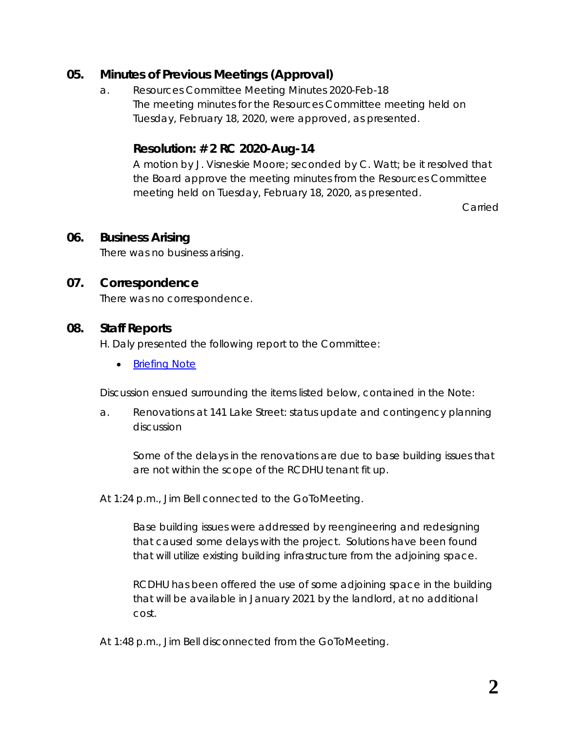## **05. Minutes of Previous Meetings (Approval)**

a. Resources Committee Meeting Minutes 2020-Feb-18 The meeting minutes for the Resources Committee meeting held on Tuesday, February 18, 2020, were approved, as presented.

## **Resolution: # 2 RC 2020-Aug-14**

A motion by J. Visneskie Moore; seconded by C. Watt; be it resolved that the Board approve the meeting minutes from the Resources Committee meeting held on Tuesday, February 18, 2020, as presented.

Carried

### **06. Business Arising**

There was no business arising.

### **07. Correspondence**

There was no correspondence.

### **08. Staff Reports**

H. Daly presented the following report to the Committee:

• **[Briefing Note](https://www.rcdhu.com/wp-content/uploads/2020/12/08.-Briefing-Note-Aug-2020.pdf)** 

Discussion ensued surrounding the items listed below, contained in the *Note*:

a. Renovations at 141 Lake Street: status update and contingency planning discussion

Some of the delays in the renovations are due to base building issues that are not within the scope of the RCDHU tenant fit up.

At 1:24 p.m., Jim Bell connected to the *GoToMeeting*.

Base building issues were addressed by reengineering and redesigning that caused some delays with the project. Solutions have been found that will utilize existing building infrastructure from the adjoining space.

RCDHU has been offered the use of some adjoining space in the building that will be available in January 2021 by the landlord, at no additional cost.

At 1:48 p.m., Jim Bell disconnected from the *GoToMeeting*.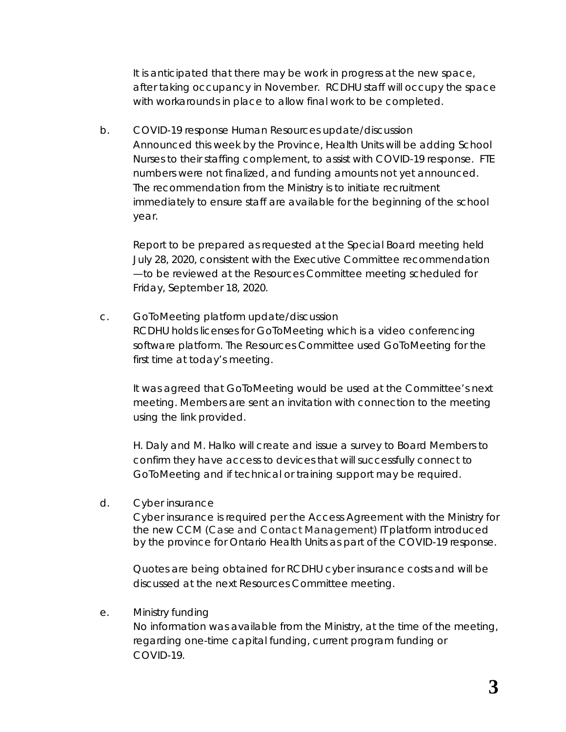It is anticipated that there may be work in progress at the new space, after taking occupancy in November. RCDHU staff will occupy the space with workarounds in place to allow final work to be completed.

b. COVID-19 response Human Resources update/discussion Announced this week by the Province, Health Units will be adding School Nurses to their staffing complement, to assist with COVID-19 response. FTE numbers were not finalized, and funding amounts not yet announced. The recommendation from the Ministry is to initiate recruitment immediately to ensure staff are available for the beginning of the school year.

Report to be prepared as requested at the Special Board meeting held July 28, 2020, consistent with the Executive Committee recommendation —to be reviewed at the Resources Committee meeting scheduled for Friday, September 18, 2020.

c. *GoToMeeting* platform update/discussion RCDHU holds licenses for *GoToMeeting* which is a video conferencing software platform. The Resources Committee used *GoToMeeting* for the first time at today's meeting.

It was agreed that *GoToMeeting* would be used at the Committee's next meeting. Members are sent an invitation with connection to the meeting using the link provided.

H. Daly and M. Halko will create and issue a survey to Board Members to confirm they have access to devices that will successfully connect to *GoToMeeting* and if technical or training support may be required.

d. Cyber insurance

Cyber insurance is required per the Access Agreement with the Ministry for the new CCM (Case and Contact Management) IT platform introduced by the province for Ontario Health Units as part of the COVID-19 response.

Quotes are being obtained for RCDHU cyber insurance costs and will be discussed at the next Resources Committee meeting.

#### e. Ministry funding

No information was available from the Ministry, at the time of the meeting, regarding one-time capital funding, current program funding or COVID-19.